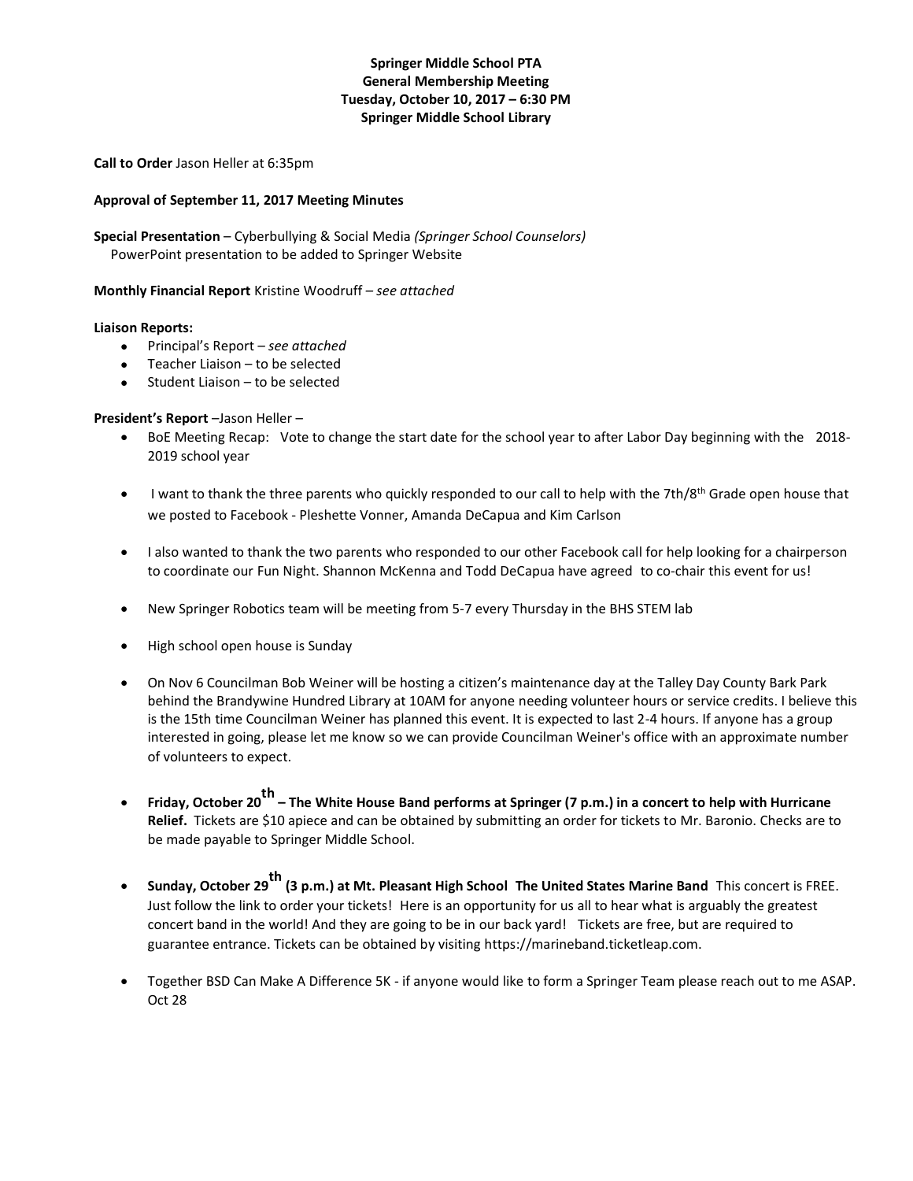## **Springer Middle School PTA General Membership Meeting Tuesday, October 10, 2017 – 6:30 PM Springer Middle School Library**

**Call to Order** Jason Heller at 6:35pm

## **Approval of September 11, 2017 Meeting Minutes**

**Special Presentation** – Cyberbullying & Social Media *(Springer School Counselors)* PowerPoint presentation to be added to Springer Website

**Monthly Financial Report** Kristine Woodruff *– see attached*

## **Liaison Reports:**

- Principal's Report *– see attached*
- Teacher Liaison to be selected
- Student Liaison to be selected

## **President's Report** –Jason Heller –

- BoE Meeting Recap: Vote to change the start date for the school year to after Labor Day beginning with the 2018- 2019 school year
- I want to thank the three parents who quickly responded to our call to help with the 7th/8th Grade open house that we posted to Facebook - Pleshette Vonner, Amanda DeCapua and Kim Carlson
- I also wanted to thank the two parents who responded to our other Facebook call for help looking for a chairperson to coordinate our Fun Night. Shannon McKenna and Todd DeCapua have agreed to co-chair this event for us!
- New Springer Robotics team will be meeting from 5-7 every Thursday in the BHS STEM lab
- High school open house is Sunday
- On Nov 6 Councilman Bob Weiner will be hosting a citizen's maintenance day at the Talley Day County Bark Park behind the Brandywine Hundred Library at 10AM for anyone needing volunteer hours or service credits. I believe this is the 15th time Councilman Weiner has planned this event. It is expected to last 2-4 hours. If anyone has a group interested in going, please let me know so we can provide Councilman Weiner's office with an approximate number of volunteers to expect.
- **•** Friday, October 20<sup>th</sup> The White House Band performs at Springer (7 p.m.) in a concert to help with Hurricane **Relief.** Tickets are \$10 apiece and can be obtained by submitting an order for tickets to Mr. Baronio. Checks are to be made payable to Springer Middle School.
- Sunday, October 29<sup>th</sup> (3 p.m.) at Mt. Pleasant High School The United States Marine Band This concert is FREE. Just follow the link to order your tickets! Here is an opportunity for us all to hear what is arguably the greatest concert band in the world! And they are going to be in our back yard! Tickets are free, but are required to guarantee entrance. Tickets can be obtained by visiting https://marineband.ticketleap.com.
- Together BSD Can Make A Difference 5K if anyone would like to form a Springer Team please reach out to me ASAP. Oct 28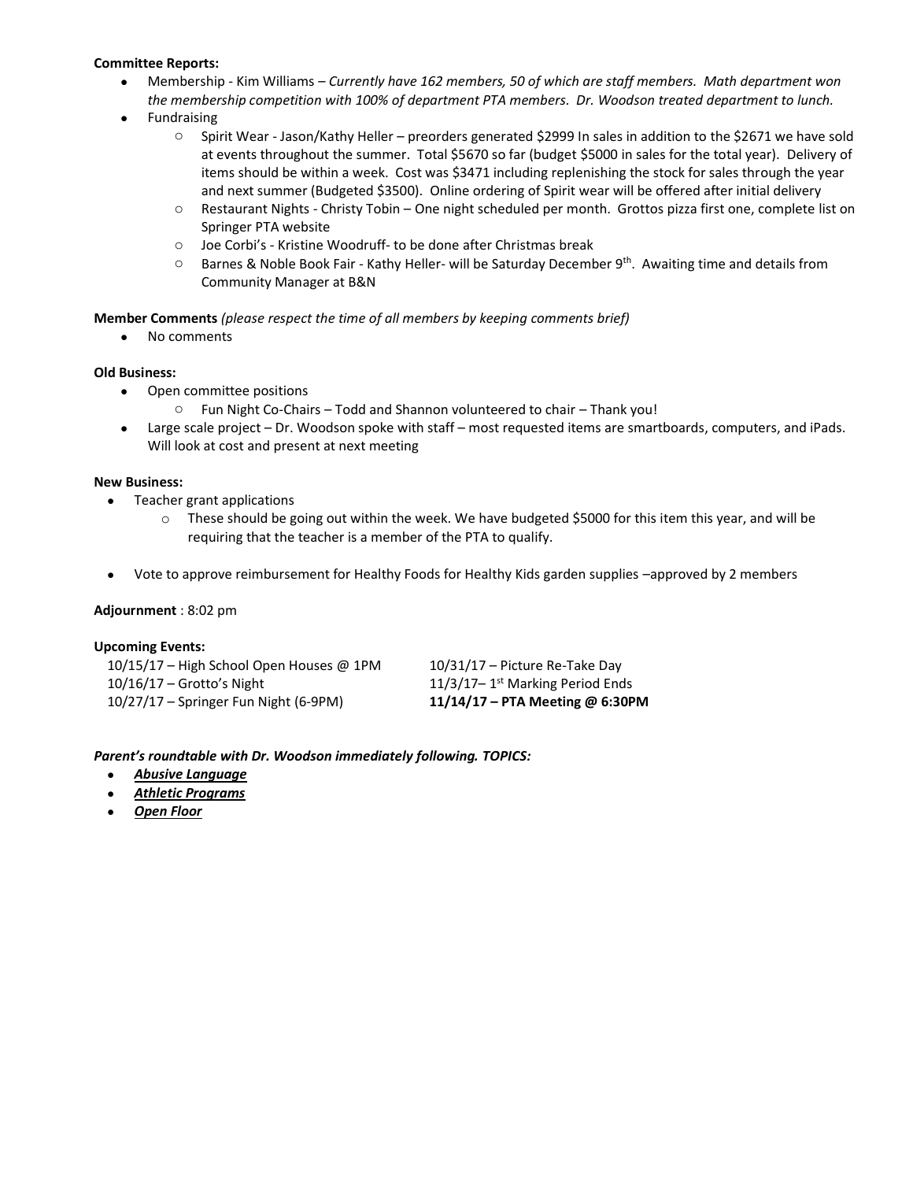## **Committee Reports:**

- Membership Kim Williams *– Currently have 162 members, 50 of which are staff members. Math department won the membership competition with 100% of department PTA members. Dr. Woodson treated department to lunch.*
- **Fundraising** 
	- o Spirit Wear Jason/Kathy Heller preorders generated \$2999 In sales in addition to the \$2671 we have sold at events throughout the summer. Total \$5670 so far (budget \$5000 in sales for the total year). Delivery of items should be within a week. Cost was \$3471 including replenishing the stock for sales through the year and next summer (Budgeted \$3500). Online ordering of Spirit wear will be offered after initial delivery
	- o Restaurant Nights *-* Christy Tobin One night scheduled per month. Grottos pizza first one, complete list on Springer PTA website
	- o Joe Corbi's Kristine Woodruff- to be done after Christmas break
	- Barnes & Noble Book Fair Kathy Heller- will be Saturday December 9<sup>th</sup>. Awaiting time and details from Community Manager at B&N

**Member Comments** *(please respect the time of all members by keeping comments brief)*

• No comments

## **Old Business:**

- Open committee positions
	- o Fun Night Co-Chairs Todd and Shannon volunteered to chair Thank you!
- Large scale project Dr. Woodson spoke with staff most requested items are smartboards, computers, and iPads. Will look at cost and present at next meeting

### **New Business:**

- Teacher grant applications
	- $\circ$  These should be going out within the week. We have budgeted \$5000 for this item this year, and will be requiring that the teacher is a member of the PTA to qualify.
- Vote to approve reimbursement for Healthy Foods for Healthy Kids garden supplies –approved by 2 members

### **Adjournment** : 8:02 pm

### **Upcoming Events:**

| 10/15/17 – High School Open Houses @ 1PM | $10/31/17$ – Picture Re-Take Day              |
|------------------------------------------|-----------------------------------------------|
| $10/16/17$ – Grotto's Night              | $11/3/17-1$ <sup>st</sup> Marking Period Ends |
| 10/27/17 - Springer Fun Night (6-9PM)    | 11/14/17 – PTA Meeting @ 6:30P                |

0/31/17 – Picture Re-Take Day 10/27/17 – Springer Fun Night (6-9PM) **11/14/17 – PTA Meeting @ 6:30PM**

### *Parent's roundtable with Dr. Woodson immediately following. TOPICS:*

- *Abusive Language*
- *Athletic Programs*
- *Open Floor*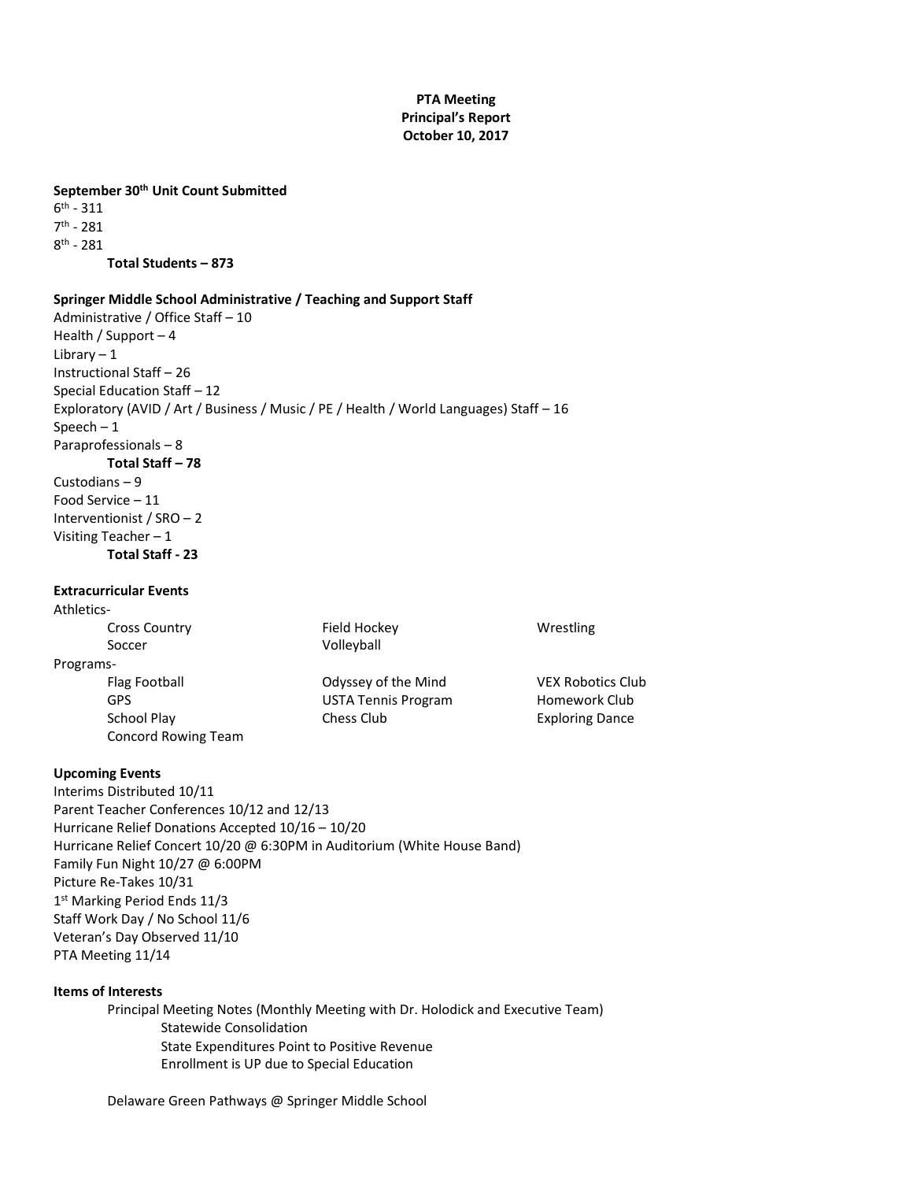# **PTA Meeting Principal's Report October 10, 2017**

## **September 30th Unit Count Submitted**

 $6^{\text{th}}$  - 311 7<sup>th</sup> - 281 8<sup>th</sup> - 281 **Total Students – 873** 

#### **Springer Middle School Administrative / Teaching and Support Staff**

Administrative / Office Staff – 10 Health / Support – 4 Library  $-1$ Instructional Staff – 26 Special Education Staff – 12 Exploratory (AVID / Art / Business / Music / PE / Health / World Languages) Staff – 16 Speech – 1 Paraprofessionals – 8 **Total Staff – 78** Custodians – 9 Food Service – 11 Interventionist / SRO – 2 Visiting Teacher – 1 **Total Staff - 23**

## **Extracurricular Events**

Athletics-Cross Country Field Hockey Wrestling Soccer **Volleyball** Programs-Flag Football **Contract Contract Contract Contract Contract Contract Contract Contract Contract Contract Contract Contract Contract Contract Contract Contract Contract Contract Contract Contract Contract Contract Contract** GPS **GPS** USTA Tennis Program Homework Club School Play Chess Club Chess Club Exploring Dance Concord Rowing Team

### **Upcoming Events**

Interims Distributed 10/11 Parent Teacher Conferences 10/12 and 12/13 Hurricane Relief Donations Accepted 10/16 – 10/20 Hurricane Relief Concert 10/20 @ 6:30PM in Auditorium (White House Band) Family Fun Night 10/27 @ 6:00PM Picture Re-Takes 10/31 1 st Marking Period Ends 11/3 Staff Work Day / No School 11/6 Veteran's Day Observed 11/10 PTA Meeting 11/14

### **Items of Interests**

Principal Meeting Notes (Monthly Meeting with Dr. Holodick and Executive Team) Statewide Consolidation State Expenditures Point to Positive Revenue Enrollment is UP due to Special Education